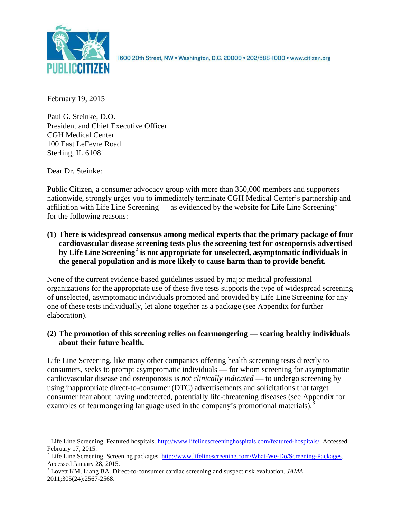

1600 20th Street, NW . Washington, D.C. 20009 . 202/588-1000 . www.citizen.org

February 19, 2015

Paul G. Steinke, D.O. President and Chief Executive Officer CGH Medical Center 100 East LeFevre Road Sterling, IL 61081

Dear Dr. Steinke:

Public Citizen, a consumer advocacy group with more than 350,000 members and supporters nationwide, strongly urges you to immediately terminate CGH Medical Center's partnership and affiliation with Life Line Screening — as evidenced by the website for Life Line Screening<sup>[1](#page-0-0)</sup> – for the following reasons:

**(1) There is widespread consensus among medical experts that the primary package of four cardiovascular disease screening tests plus the screening test for osteoporosis advertised by Life Line Screening[2](#page-0-1) is not appropriate for unselected, asymptomatic individuals in the general population and is more likely to cause harm than to provide benefit.**

None of the current evidence-based guidelines issued by major medical professional organizations for the appropriate use of these five tests supports the type of widespread screening of unselected, asymptomatic individuals promoted and provided by Life Line Screening for any one of these tests individually, let alone together as a package (see Appendix for further elaboration).

# **(2) The promotion of this screening relies on fearmongering — scaring healthy individuals about their future health.**

Life Line Screening, like many other companies offering health screening tests directly to consumers, seeks to prompt asymptomatic individuals — for whom screening for asymptomatic cardiovascular disease and osteoporosis is *not clinically indicated* — to undergo screening by using inappropriate direct-to-consumer (DTC) advertisements and solicitations that target consumer fear about having undetected, potentially life-threatening diseases (see Appendix for examples of fearmongering language used in the company's promotional materials).<sup>[3](#page-0-2)</sup>

<span id="page-0-0"></span><sup>&</sup>lt;sup>1</sup> Life Line Screening. Featured hospitals. [http://www.lifelinescreeninghospitals.com/featured-hospitals/.](http://www.lifelinescreeninghospitals.com/featured-hospitals/) Accessed

<span id="page-0-1"></span>February 17, 2015.<br><sup>2</sup> Life Line Screening. Screening packages. [http://www.lifelinescreening.com/What-We-Do/Screening-Packages.](http://www.lifelinescreening.com/What-We-Do/Screening-Packages)<br>Accessed January 28, 2015.

<span id="page-0-2"></span><sup>&</sup>lt;sup>3</sup> Lovett KM, Liang BA. Direct-to-consumer cardiac screening and suspect risk evaluation. *JAMA*. 2011;305(24):2567-2568.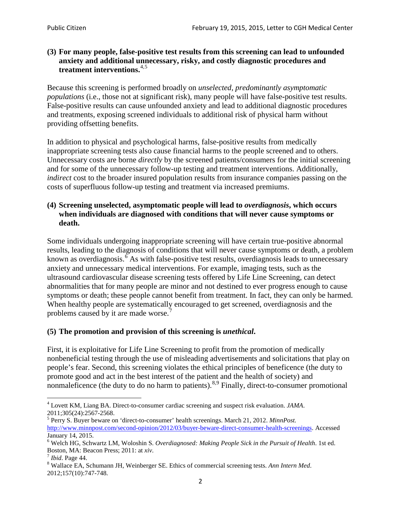## **(3) For many people, false-positive test results from this screening can lead to unfounded anxiety and additional unnecessary, risky, and costly diagnostic procedures and treatment interventions.**[4](#page-1-0),[5](#page-1-1)

Because this screening is performed broadly on *unselected, predominantly asymptomatic populations* (i.e., those not at significant risk), many people will have false**-**positive test results. False-positive results can cause unfounded anxiety and lead to additional diagnostic procedures and treatments, exposing screened individuals to additional risk of physical harm without providing offsetting benefits.

In addition to physical and psychological harms, false-positive results from medically inappropriate screening tests also cause financial harms to the people screened and to others. Unnecessary costs are borne *directly* by the screened patients/consumers for the initial screening and for some of the unnecessary follow-up testing and treatment interventions. Additionally, *indirect* cost to the broader insured population results from insurance companies passing on the costs of superfluous follow-up testing and treatment via increased premiums.

# **(4) Screening unselected, asymptomatic people will lead to** *overdiagnosis***, which occurs when individuals are diagnosed with conditions that will never cause symptoms or death.**

Some individuals undergoing inappropriate screening will have certain true-positive abnormal results, leading to the diagnosis of conditions that will never cause symptoms or death, a problem known as overdiagnosis.<sup>[6](#page-1-2)</sup> As with false-positive test results, overdiagnosis leads to unnecessary anxiety and unnecessary medical interventions. For example, imaging tests, such as the ultrasound cardiovascular disease screening tests offered by Life Line Screening, can detect abnormalities that for many people are minor and not destined to ever progress enough to cause symptoms or death; these people cannot benefit from treatment. In fact, they can only be harmed. When healthy people are systematically encouraged to get screened, overdiagnosis and the problems caused by it are made worse.<sup>[7](#page-1-3)</sup>

# **(5) The promotion and provision of this screening is** *unethical***.**

First, it is exploitative for Life Line Screening to profit from the promotion of medically nonbeneficial testing through the use of misleading advertisements and solicitations that play on people's fear. Second, this screening violates the ethical principles of beneficence (the duty to promote good and act in the best interest of the patient and the health of society) and nonmaleficence (the duty to do no harm to patients).<sup>[8](#page-1-4),[9](#page-1-5)</sup> Finally, direct-to-consumer promotional

<span id="page-1-5"></span><span id="page-1-0"></span><sup>4</sup> Lovett KM, Liang BA. Direct-to-consumer cardiac screening and suspect risk evaluation. *JAMA*.

<span id="page-1-1"></span><sup>2011;305(24):2567-2568.</sup> <sup>5</sup> Perry S. Buyer beware on 'direct-to-consumer' health screenings. March 21, 2012. *MinnPost.*  [http://www.minnpost.com/second-opinion/2012/03/buyer-beware-direct-consumer-health-screenings.](http://www.minnpost.com/second-opinion/2012/03/buyer-beware-direct-consumer-health-screenings) Accessed January 14, 2015.

<span id="page-1-2"></span><sup>6</sup> Welch HG, Schwartz LM, Woloshin S. *Overdiagnosed: Making People Sick in the Pursuit of Health*. 1st ed. Boston, MA: Beacon Press; 2011: at *xiv*.<br><sup>7</sup> *Ibid*. Page 44.<br><sup>8</sup> Wallace EA, Schumann JH, Weinberger SE. Ethics of commercial screening tests. *Ann Intern Med*.

<span id="page-1-3"></span>

<span id="page-1-4"></span><sup>2012;157(10):747-748.</sup>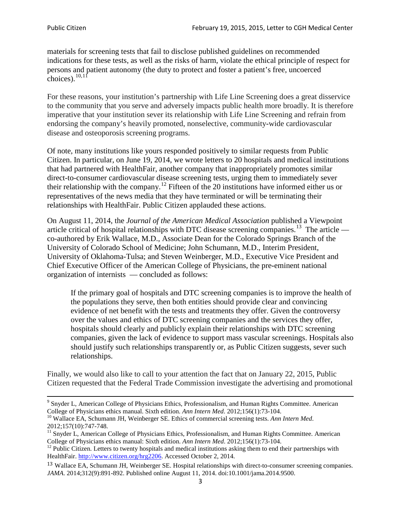materials for screening tests that fail to disclose published guidelines on recommended indications for these tests, as well as the risks of harm, violate the ethical principle of respect for persons and patient autonomy (the duty to protect and foster a patient's free, uncoerced choices). $\frac{10,11}{10,11}$  $\frac{10,11}{10,11}$  $\frac{10,11}{10,11}$  $\frac{10,11}{10,11}$ 

For these reasons, your institution's partnership with Life Line Screening does a great disservice to the community that you serve and adversely impacts public health more broadly. It is therefore imperative that your institution sever its relationship with Life Line Screening and refrain from endorsing the company's heavily promoted, nonselective, community**-**wide cardiovascular disease and osteoporosis screening programs.

Of note, many institutions like yours responded positively to similar requests from Public Citizen. In particular, on June 19, 2014, we wrote letters to 20 hospitals and medical institutions that had partnered with HealthFair, another company that inappropriately promotes similar direct-to-consumer cardiovascular disease screening tests, urging them to immediately sever their relationship with the company. [12](#page-2-2) Fifteen of the 20 institutions have informed either us or representatives of the news media that they have terminated or will be terminating their relationships with HealthFair. Public Citizen applauded these actions.

On August 11, 2014, the *Journal of the American Medical Association* published a Viewpoint article critical of hospital relationships with DTC disease screening companies.<sup>13</sup> The article co-authored by Erik Wallace, M.D., Associate Dean for the Colorado Springs Branch of the University of Colorado School of Medicine; John Schumann, M.D., Interim President, University of Oklahoma-Tulsa; and Steven Weinberger, M.D., Executive Vice President and Chief Executive Officer of the American College of Physicians, the pre**-**eminent national organization of internists — concluded as follows:

If the primary goal of hospitals and DTC screening companies is to improve the health of the populations they serve, then both entities should provide clear and convincing evidence of net benefit with the tests and treatments they offer. Given the controversy over the values and ethics of DTC screening companies and the services they offer, hospitals should clearly and publicly explain their relationships with DTC screening companies, given the lack of evidence to support mass vascular screenings. Hospitals also should justify such relationships transparently or, as Public Citizen suggests, sever such relationships.

Finally, we would also like to call to your attention the fact that on January 22, 2015, Public Citizen requested that the Federal Trade Commission investigate the advertising and promotional

<sup>&</sup>lt;sup>9</sup> Snyder L, American College of Physicians Ethics, Professionalism, and Human Rights Committee. American College of Physicians ethics manual. Sixth edition. Ann Intern Med. 2012;156(1):73-104.

<span id="page-2-0"></span><sup>&</sup>lt;sup>10</sup> Wallace EA, Schumann JH, Weinberger SE. Ethics of commercial screening tests. *Ann Intern Med*. 2012;157(10):747-748.

<span id="page-2-1"></span> $11$  Snyder L, American College of Physicians Ethics, Professionalism, and Human Rights Committee. American College of Physicians ethics manual: Sixth edition. *Ann Intern Med*. 2012;156(1):73-104.<br><sup>12</sup> Public Citizen. Letters to twenty hospitals and medical institutions asking them to end their partnerships with

<span id="page-2-2"></span>HealthFair. [http://www.citizen.org/hrg2206.](http://www.citizen.org/hrg2206) Accessed October 2, 2014.

<span id="page-2-3"></span><sup>13</sup> Wallace EA, Schumann JH, Weinberger SE. Hospital relationships with direct-to-consumer screening companies. *JAMA*. 2014;312(9):891-892. Published online August 11, 2014. doi:10.1001/jama.2014.9500.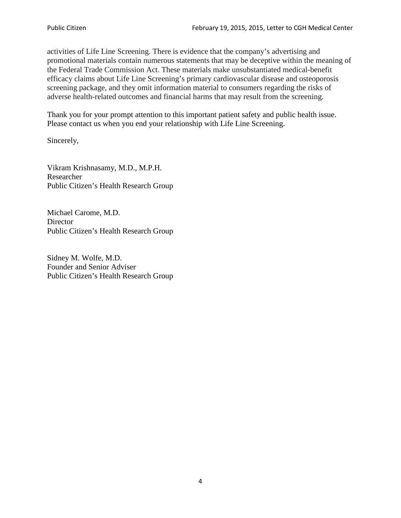activities of Life Line Screening. There is evidence that the company's advertising and promotional materials contain numerous statements that may be deceptive within the meaning of the Federal Trade Commission Act. These materials make unsubstantiated medical-benefit efficacy claims about Life Line Screening's primary cardiovascular disease and osteoporosis screening package, and they omit information material to consumers regarding the risks of adverse health-related outcomes and financial harms that may result from the screening.

Thank you for your prompt attention to this important patient safety and public health issue. Please contact us when you end your relationship with Life Line Screening.

Sincerely,

Vikram Krishnasamy, M.D., M.P.H. Researcher Public Citizen's Health Research Group

Michael Carome, M.D. **Director** Public Citizen's Health Research Group

Sidney M. Wolfe, M.D. Founder and Senior Adviser Public Citizen's Health Research Group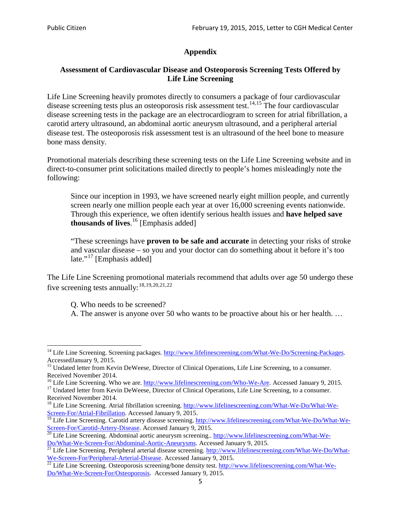# **Appendix**

# **Assessment of Cardiovascular Disease and Osteoporosis Screening Tests Offered by Life Line Screening**

Life Line Screening heavily promotes directly to consumers a package of four cardiovascular disease screening tests plus an osteoporosis risk assessment test.<sup>[14](#page-4-0),[15](#page-4-1)</sup> The four cardiovascular disease screening tests in the package are an electrocardiogram to screen for atrial fibrillation, a carotid artery ultrasound, an abdominal aortic aneurysm ultrasound, and a peripheral arterial disease test. The osteoporosis risk assessment test is an ultrasound of the heel bone to measure bone mass density.

Promotional materials describing these screening tests on the Life Line Screening website and in direct-to-consumer print solicitations mailed directly to people's homes misleadingly note the following:

Since our inception in 1993, we have screened nearly eight million people, and currently screen nearly one million people each year at over 16,000 screening events nationwide. Through this experience, we often identify serious health issues and **have helped save thousands of lives**. [16](#page-4-2) [Emphasis added]

"These screenings have **proven to be safe and accurate** in detecting your risks of stroke and vascular disease – so you and your doctor can do something about it before it's too late."<sup>[17](#page-4-3)</sup> [Emphasis added]

The Life Line Screening promotional materials recommend that adults over age 50 undergo these five screening tests annually:<sup>[18](#page-4-4),[19,](#page-4-5)[20,](#page-4-6)[21](#page-4-7),[22](#page-4-8)</sup>

Q. Who needs to be screened?

A. The answer is anyone over 50 who wants to be proactive about his or her health. …

<span id="page-4-0"></span><sup>&</sup>lt;sup>14</sup> Life Line Screening. Screening packages. [http://www.lifelinescreening.com/What-We-Do/Screening-Packages.](http://www.lifelinescreening.com/What-We-Do/Screening-Packages) AccessedJanuary 9, 2015.

<span id="page-4-1"></span><sup>&</sup>lt;sup>15</sup> Undated letter from Kevin DeWeese, Director of Clinical Operations, Life Line Screening, to a consumer.

Received November 2014.<br><sup>16</sup> Life Line Screening. Who we are. http://www.lifelinescreening.com/Who-We-Are. Accessed January 9, 2015.

<span id="page-4-3"></span><span id="page-4-2"></span><sup>&</sup>lt;sup>17</sup> Undated letter from Kevin DeWeese, Director of Clinical Operations, Life Line Screening, to a consumer. Received November 2014.

<span id="page-4-4"></span><sup>&</sup>lt;sup>18</sup> Life Line Screening. Atrial fibrillation screening. [http://www.lifelinescreening.com/What-We-Do/What-We-](http://www.lifelinescreening.com/What-We-Do/What-We-Screen-For/Atrial-Fibrillation)[Screen-For/Atrial-Fibrillation.](http://www.lifelinescreening.com/What-We-Do/What-We-Screen-For/Atrial-Fibrillation) Accessed January 9, 2015.

<sup>&</sup>lt;sup>19</sup> Life Line Screening. Carotid artery disease screening. [http://www.lifelinescreening.com/What-We-Do/What-We-](http://www.lifelinescreening.com/What-We-Do/What-We-Screen-For/Carotid-Artery-Disease)

<span id="page-4-6"></span><span id="page-4-5"></span>[Screen-For/Carotid-Artery-Disease.](http://www.lifelinescreening.com/What-We-Do/What-We-Screen-For/Carotid-Artery-Disease) Accessed January 9, 2015.<br><sup>20</sup> Life Line Screening. Abdominal aortic aneurysm screening.. http://www.lifelinescreening.com/What-We-Do/What-We-Do/What-We-Screen-For/Abdominal-Aortic-Aneury

<span id="page-4-7"></span><sup>&</sup>lt;sup>21</sup> Life Line Screening. Peripheral arterial disease screening. [http://www.lifelinescreening.com/What-We-Do/What-](http://www.lifelinescreening.com/What-We-Do/What-We-Screen-For/Peripheral-Arterial-Disease)

<span id="page-4-8"></span>[We-Screen-For/Peripheral-Arterial-Disease.](http://www.lifelinescreening.com/What-We-Do/What-We-Screen-For/Peripheral-Arterial-Disease) Accessed January 9, 2015.<br><sup>22</sup> Life Line Screening. Osteoporosis screening/bone density test. [http://www.lifelinescreening.com/What-We-](http://www.lifelinescreening.com/What-We-Do/What-We-Screen-For/Osteoporosis)[Do/What-We-Screen-For/Osteoporosis.](http://www.lifelinescreening.com/What-We-Do/What-We-Screen-For/Osteoporosis) Accessed January 9, 2015.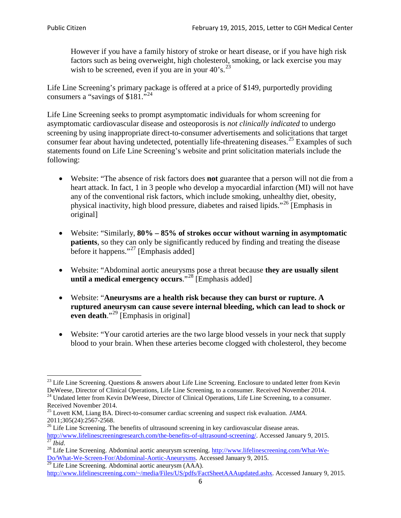However if you have a family history of stroke or heart disease, or if you have high risk factors such as being overweight, high cholesterol, smoking, or lack exercise you may wish to be screened, even if you are in your  $40^{\circ}$ s.<sup>[23](#page-5-0)</sup>

Life Line Screening's primary package is offered at a price of \$149, purportedly providing consumers a "savings of \$181."<sup>[24](#page-5-1)</sup>

Life Line Screening seeks to prompt asymptomatic individuals for whom screening for asymptomatic cardiovascular disease and osteoporosis is *not clinically indicated* to undergo screening by using inappropriate direct-to-consumer advertisements and solicitations that target consumer fear about having undetected, potentially life-threatening diseases.<sup>[25](#page-5-2)</sup> Examples of such statements found on Life Line Screening's website and print solicitation materials include the following:

- Website: "The absence of risk factors does **not** guarantee that a person will not die from a heart attack. In fact, 1 in 3 people who develop a myocardial infarction (MI) will not have any of the conventional risk factors, which include smoking, unhealthy diet, obesity, physical inactivity, high blood pressure, diabetes and raised lipids."[26](#page-5-3) [Emphasis in original]
- Website: "Similarly, **80% – 85% of strokes occur without warning in asymptomatic patients**, so they can only be significantly reduced by finding and treating the disease before it happens."<sup>[27](#page-5-4)</sup> [Emphasis added]
- Website: "Abdominal aortic aneurysms pose a threat because **they are usually silent until a medical emergency occurs**."[28](#page-5-5) [Emphasis added]
- Website: "**Aneurysms are a health risk because they can burst or rupture. A ruptured aneurysm can cause severe internal bleeding, which can lead to shock or even death.**"<sup>[29](#page-5-6)</sup> [Emphasis in original]
- Website: "Your carotid arteries are the two large blood vessels in your neck that supply blood to your brain. When these arteries become clogged with cholesterol, they become

<span id="page-5-0"></span><sup>&</sup>lt;sup>23</sup> Life Line Screening. Questions  $\&$  answers about Life Line Screening. Enclosure to undated letter from Kevin DeWeese, Director of Clinical Operations, Life Line Screening, to a consumer. Received November 2014.

<span id="page-5-1"></span><sup>&</sup>lt;sup>24</sup> Undated letter from Kevin DeWeese, Director of Clinical Operations, Life Line Screening, to a consumer. Received November 2014.

<span id="page-5-2"></span><sup>25</sup> Lovett KM, Liang BA. Direct-to-consumer cardiac screening and suspect risk evaluation. *JAMA*.  $2011;305(24):2567-2568$ .<br><sup>26</sup> Life Line Screening. The benefits of ultrasound screening in key cardiovascular disease areas.

<span id="page-5-3"></span>[http://www.lifelinescreeningresearch.com/the-benefits-of-ultrasound-screening/.](http://www.lifelinescreeningresearch.com/the-benefits-of-ultrasound-screening/) Accessed January 9, 2015.<br><sup>28</sup> Life Line Screening. Abdominal aortic aneurysm screening. http://www.lifelinescreening.com/What-We-<sup>28</sup>

<span id="page-5-5"></span><span id="page-5-4"></span>[Do/What-We-Screen-For/Abdominal-Aortic-Aneurysms.](http://www.lifelinescreening.com/What-We-Do/What-We-Screen-For/Abdominal-Aortic-Aneurysms) Accessed January 9, 2015. <sup>29</sup> Life Line Screening. Abdominal aortic aneurysm (AAA).

<span id="page-5-6"></span>[http://www.lifelinescreening.com/~/media/Files/US/pdfs/FactSheetAAAupdated.ashx.](http://www.lifelinescreening.com/~/media/Files/US/pdfs/FactSheetAAAupdated.ashx) Accessed January 9, 2015.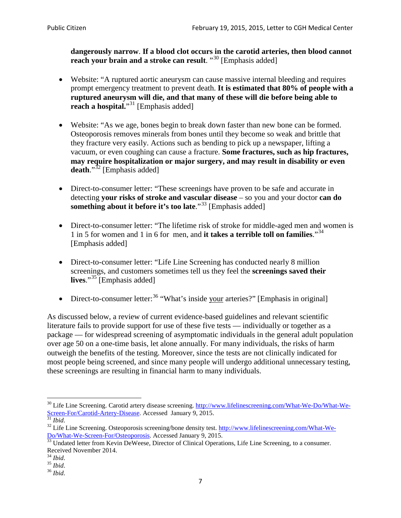**dangerously narrow**. **If a blood clot occurs in the carotid arteries, then blood cannot reach your brain and a stroke can result**. "<sup>[30](#page-6-0)</sup> [Emphasis added]

- Website: "A ruptured aortic aneurysm can cause massive internal bleeding and requires prompt emergency treatment to prevent death. **It is estimated that 80% of people with a ruptured aneurysm will die, and that many of these will die before being able to reach a hospital.**"<sup>[31](#page-6-1)</sup> [Emphasis added]
- Website: "As we age, bones begin to break down faster than new bone can be formed. Osteoporosis removes minerals from bones until they become so weak and brittle that they fracture very easily. Actions such as bending to pick up a newspaper, lifting a vacuum, or even coughing can cause a fracture. **Some fractures, such as hip fractures, may require hospitalization or major surgery, and may result in disability or even**  death."<sup>[32](#page-6-2)</sup> [Emphasis added]
- Direct-to-consumer letter: "These screenings have proven to be safe and accurate in detecting **your risks of stroke and vascular disease** – so you and your doctor **can do something about it before it's too late**."<sup>[33](#page-6-3)</sup> [Emphasis added]
- Direct-to-consumer letter: "The lifetime risk of stroke for middle-aged men and women is 1 in 5 for women and 1 in 6 for men, and **it takes a terrible toll on families**."[34](#page-6-4) [Emphasis added]
- Direct-to-consumer letter: "Life Line Screening has conducted nearly 8 million screenings, and customers sometimes tell us they feel the **screenings saved their lives**."[35](#page-6-5) [Emphasis added]
- Direct-to-consumer letter:  $36$  "What's inside your arteries?" [Emphasis in original]

As discussed below, a review of current evidence-based guidelines and relevant scientific literature fails to provide support for use of these five tests — individually or together as a package — for widespread screening of asymptomatic individuals in the general adult population over age 50 on a one-time basis, let alone annually. For many individuals, the risks of harm outweigh the benefits of the testing. Moreover, since the tests are not clinically indicated for most people being screened, and since many people will undergo additional unnecessary testing, these screenings are resulting in financial harm to many individuals.

<span id="page-6-0"></span><sup>&</sup>lt;sup>30</sup> Life Line Screening. Carotid artery disease screening. [http://www.lifelinescreening.com/What-We-Do/What-We-](http://www.lifelinescreening.com/What-We-Do/What-We-Screen-For/Carotid-Artery-Disease)[Screen-For/Carotid-Artery-Disease.](http://www.lifelinescreening.com/What-We-Do/What-We-Screen-For/Carotid-Artery-Disease) Accessed January 9, 2015.<br><sup>31</sup> *Ibid.* 32 Life Line Screening. Osteoporosis screening/bone density test. [http://www.lifelinescreening.com/What-We-](http://www.lifelinescreening.com/What-We-Do/What-We-Screen-For/Osteoporosis)

<span id="page-6-2"></span><span id="page-6-1"></span>[Do/What-We-Screen-For/Osteoporosis.](http://www.lifelinescreening.com/What-We-Do/What-We-Screen-For/Osteoporosis) Accessed January 9, 2015. <sup>33</sup> Undated letter from Kevin DeWeese, Director of Clinical Operations, Life Line Screening, to a consumer.

<span id="page-6-3"></span>Received November 2014.<br><sup>34</sup> Ibid.

<span id="page-6-4"></span>

<span id="page-6-5"></span><sup>34</sup> *Ibid*. 35 *Ibid*. 36 *Ibid*.

<span id="page-6-6"></span>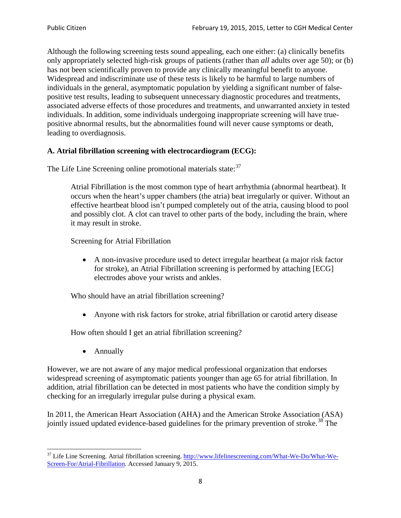Although the following screening tests sound appealing, each one either: (a) clinically benefits only appropriately selected high-risk groups of patients (rather than *all* adults over age 50); or (b) has not been scientifically proven to provide any clinically meaningful benefit to anyone. Widespread and indiscriminate use of these tests is likely to be harmful to large numbers of individuals in the general, asymptomatic population by yielding a significant number of falsepositive test results, leading to subsequent unnecessary diagnostic procedures and treatments, associated adverse effects of those procedures and treatments, and unwarranted anxiety in tested individuals. In addition, some individuals undergoing inappropriate screening will have truepositive abnormal results, but the abnormalities found will never cause symptoms or death, leading to overdiagnosis.

# **A. Atrial fibrillation screening with electrocardiogram (ECG):**

The Life Line Screening online promotional materials state:<sup>[37](#page-7-0)</sup>

Atrial Fibrillation is the most common type of heart arrhythmia (abnormal heartbeat). It occurs when the heart's upper chambers (the atria) beat irregularly or quiver. Without an effective heartbeat blood isn't pumped completely out of the atria, causing blood to pool and possibly clot. A clot can travel to other parts of the body, including the brain, where it may result in stroke.

Screening for Atrial Fibrillation

• A non-invasive procedure used to detect irregular heartbeat (a major risk factor for stroke), an Atrial Fibrillation screening is performed by attaching [ECG] electrodes above your wrists and ankles.

Who should have an atrial fibrillation screening?

• Anyone with risk factors for stroke, atrial fibrillation or carotid artery disease

How often should I get an atrial fibrillation screening?

• Annually

<span id="page-7-1"></span>However, we are not aware of any major medical professional organization that endorses widespread screening of asymptomatic patients younger than age 65 for atrial fibrillation. In addition, atrial fibrillation can be detected in most patients who have the condition simply by checking for an irregularly irregular pulse during a physical exam.

In 2011, the American Heart Association (AHA) and the American Stroke Association (ASA) jointly issued updated evidence-based guidelines for the primary prevention of stroke.<sup>[38](#page-7-1)</sup> The

<span id="page-7-0"></span><sup>&</sup>lt;sup>37</sup> Life Line Screening. Atrial fibrillation screening. [http://www.lifelinescreening.com/What-We-Do/What-We-](http://www.lifelinescreening.com/What-We-Do/What-We-Screen-For/Atrial-Fibrillation)[Screen-For/Atrial-Fibrillation.](http://www.lifelinescreening.com/What-We-Do/What-We-Screen-For/Atrial-Fibrillation) Accessed January 9, 2015.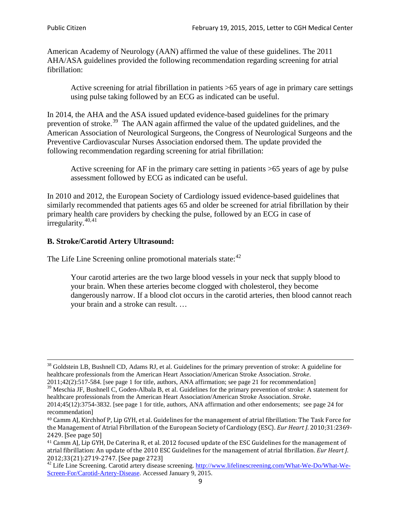American Academy of Neurology (AAN) affirmed the value of these guidelines. The 2011 AHA/ASA guidelines provided the following recommendation regarding screening for atrial fibrillation:

Active screening for atrial fibrillation in patients >65 years of age in primary care settings using pulse taking followed by an ECG as indicated can be useful.

In 2014, the AHA and the ASA issued updated evidence-based guidelines for the primary prevention of stroke.<sup>[39](#page-8-0)</sup> The AAN again affirmed the value of the updated guidelines, and the American Association of Neurological Surgeons, the Congress of Neurological Surgeons and the Preventive Cardiovascular Nurses Association endorsed them. The update provided the following recommendation regarding screening for atrial fibrillation:

Active screening for AF in the primary care setting in patients >65 years of age by pulse assessment followed by ECG as indicated can be useful.

In 2010 and 2012, the European Society of Cardiology issued evidence-based guidelines that similarly recommended that patients ages 65 and older be screened for atrial fibrillation by their primary health care providers by checking the pulse, followed by an ECG in case of irregularity. $40,41$  $40,41$ 

# **B. Stroke/Carotid Artery Ultrasound:**

The Life Line Screening online promotional materials state:<sup>[42](#page-8-3)</sup>

Your carotid arteries are the two large blood vessels in your neck that supply blood to your brain. When these arteries become clogged with cholesterol, they become dangerously narrow. If a blood clot occurs in the carotid arteries, then blood cannot reach your brain and a stroke can result. …

<sup>&</sup>lt;sup>38</sup> Goldstein LB, Bushnell CD, Adams RJ, et al. Guidelines for the primary prevention of stroke: A guideline for healthcare professionals from the American Heart Association/American Stroke Association. *Stroke*.

<sup>2011;42(2):517-584.</sup> [see page 1 for title, authors, ANA affirmation; see page 21 for recommendation]

<span id="page-8-0"></span> $\frac{2011,42(2)(317,601)}{39}$  Meschia JF, Bushnell C, Goden-Albala B, et al. Guidelines for the primary prevention of stroke: A statement for healthcare professionals from the American Heart Association/American Stroke Association. *Stroke*.

<sup>2014;45(12):3754-3832.</sup> [see page 1 for title, authors, ANA affirmation and other endorsements; see page 24 for recommendation]

<span id="page-8-1"></span><sup>40</sup> Camm AJ, Kirchhof P, Lip GYH, et al. Guidelines for the management of atrial fibrillation: The Task Force for the Management of Atrial Fibrillation of the European Society of Cardiology (ESC). *Eur Heart J*. 2010;31:2369- 2429. [See page 50]

<span id="page-8-2"></span><sup>41</sup> Camm AJ, Lip GYH, De Caterina R, et al. 2012 focused update of the ESC Guidelines for the management of atrial fibrillation: An update of the 2010 ESC Guidelines for the management of atrial fibrillation. *Eur Heart J*.

<span id="page-8-3"></span><sup>&</sup>lt;sup>2012</sup>;23(21):2719-2747. [See page 273] 42 Life Line Screening. [http://www.lifelinescreening.com/What-We-Do/What-We-](http://www.lifelinescreening.com/What-We-Do/What-We-Screen-For/Carotid-Artery-Disease)[Screen-For/Carotid-Artery-Disease.](http://www.lifelinescreening.com/What-We-Do/What-We-Screen-For/Carotid-Artery-Disease) Accessed January 9, 2015.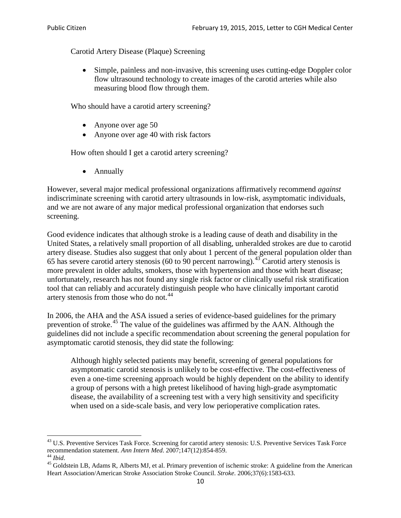Carotid Artery Disease (Plaque) Screening

• Simple, painless and non-invasive, this screening uses cutting-edge Doppler color flow ultrasound technology to create images of the carotid arteries while also measuring blood flow through them.

Who should have a carotid artery screening?

- Anyone over age 50
- Anyone over age 40 with risk factors

How often should I get a carotid artery screening?

• Annually

However, several major medical professional organizations affirmatively recommend *against* indiscriminate screening with carotid artery ultrasounds in low-risk, asymptomatic individuals, and we are not aware of any major medical professional organization that endorses such screening.

Good evidence indicates that although stroke is a leading cause of death and disability in the United States, a relatively small proportion of all disabling, unheralded strokes are due to carotid artery disease. Studies also suggest that only about 1 percent of the general population older than 65 has severe carotid artery stenosis (60 to 90 percent narrowing).<sup>[43](#page-9-0)</sup> Carotid artery stenosis is more prevalent in older adults, smokers, those with hypertension and those with heart disease; unfortunately, research has not found any single risk factor or clinically useful risk stratification tool that can reliably and accurately distinguish people who have clinically important carotid artery stenosis from those who do not.<sup>[44](#page-9-1)</sup>

In 2006, the AHA and the ASA issued a series of evidence-based guidelines for the primary prevention of stroke.[45](#page-9-2) The value of the guidelines was affirmed by the AAN. Although the guidelines did not include a specific recommendation about screening the general population for asymptomatic carotid stenosis, they did state the following:

Although highly selected patients may benefit, screening of general populations for asymptomatic carotid stenosis is unlikely to be cost-effective. The cost-effectiveness of even a one-time screening approach would be highly dependent on the ability to identify a group of persons with a high pretest likelihood of having high-grade asymptomatic disease, the availability of a screening test with a very high sensitivity and specificity when used on a side-scale basis, and very low perioperative complication rates.

<span id="page-9-0"></span> $^{43}$  U.S. Preventive Services Task Force. Screening for carotid artery stenosis: U.S. Preventive Services Task Force recommendation statement. Ann Intern Med. 2007;147(12):854-859.

<span id="page-9-2"></span>

<span id="page-9-1"></span><sup>&</sup>lt;sup>44</sup> *Ibid*. <sup>45</sup> Goldstein LB, Adams R, Alberts MJ, et al. Primary prevention of ischemic stroke: A guideline from the American <sup>45</sup> Goldstein LB, Adams R, Alberts MJ, et al. Primary prevention of ischemic stroke: A guide Heart Association/American Stroke Association Stroke Council. *Stroke*. 2006;37(6):1583-633.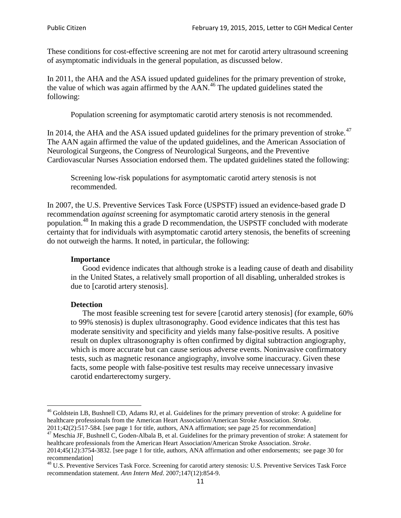These conditions for cost-effective screening are not met for carotid artery ultrasound screening of asymptomatic individuals in the general population, as discussed below.

In 2011, the AHA and the ASA issued updated guidelines for the primary prevention of stroke, the value of which was again affirmed by the  $AAN<sup>46</sup>$  $AAN<sup>46</sup>$  $AAN<sup>46</sup>$ . The updated guidelines stated the following:

Population screening for asymptomatic carotid artery stenosis is not recommended.

In 2014, the AHA and the ASA issued updated guidelines for the primary prevention of stroke.<sup>47</sup> The AAN again affirmed the value of the updated guidelines, and the American Association of Neurological Surgeons, the Congress of Neurological Surgeons, and the Preventive Cardiovascular Nurses Association endorsed them. The updated guidelines stated the following:

Screening low-risk populations for asymptomatic carotid artery stenosis is not recommended.

In 2007, the U.S. Preventive Services Task Force (USPSTF) issued an evidence-based grade D recommendation *against* screening for asymptomatic carotid artery stenosis in the general population.[48](#page-10-2) In making this a grade D recommendation, the USPSTF concluded with moderate certainty that for individuals with asymptomatic carotid artery stenosis, the benefits of screening do not outweigh the harms. It noted, in particular, the following:

### **Importance**

Good evidence indicates that although stroke is a leading cause of death and disability in the United States, a relatively small proportion of all disabling, unheralded strokes is due to [carotid artery stenosis].

### **Detection**

The most feasible screening test for severe [carotid artery stenosis] (for example, 60% to 99% stenosis) is duplex ultrasonography. Good evidence indicates that this test has moderate sensitivity and specificity and yields many false-positive results. A positive result on duplex ultrasonography is often confirmed by digital subtraction angiography, which is more accurate but can cause serious adverse events. Noninvasive confirmatory tests, such as magnetic resonance angiography, involve some inaccuracy. Given these facts, some people with false-positive test results may receive unnecessary invasive carotid endarterectomy surgery.

<span id="page-10-0"></span><sup>&</sup>lt;sup>46</sup> Goldstein LB, Bushnell CD, Adams RJ, et al. Guidelines for the primary prevention of stroke: A guideline for healthcare professionals from the American Heart Association/American Stroke Association. *Stroke*.<br>2011;42(2):517-584. [see page 1 for title, authors, ANA affirmation; see page 25 for recommendation]

<span id="page-10-1"></span><sup>&</sup>lt;sup>47</sup> Meschia JF, Bushnell C, Goden-Albala B, et al. Guidelines for the primary prevention of stroke: A statement for healthcare professionals from the American Heart Association/American Stroke Association. *Stroke*. 2014;45(12):3754-3832. [see page 1 for title, authors, ANA affirmation and other endorsements; see page 30 for

recommendation]

<span id="page-10-2"></span><sup>&</sup>lt;sup>48</sup> U.S. Preventive Services Task Force. Screening for carotid artery stenosis: U.S. Preventive Services Task Force recommendation statement. *Ann Intern Med*. 2007;147(12):854-9.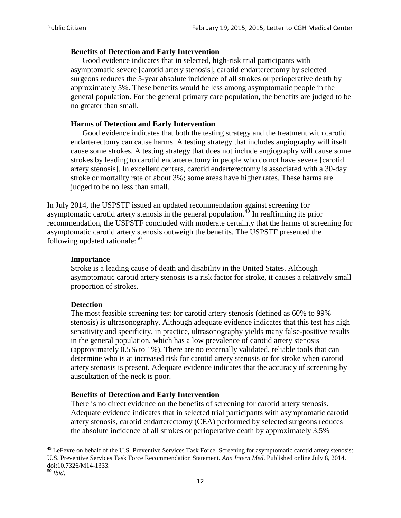### **Benefits of Detection and Early Intervention**

Good evidence indicates that in selected, high-risk trial participants with asymptomatic severe [carotid artery stenosis], carotid endarterectomy by selected surgeons reduces the 5-year absolute incidence of all strokes or perioperative death by approximately 5%. These benefits would be less among asymptomatic people in the general population. For the general primary care population, the benefits are judged to be no greater than small.

### **Harms of Detection and Early Intervention**

Good evidence indicates that both the testing strategy and the treatment with carotid endarterectomy can cause harms. A testing strategy that includes angiography will itself cause some strokes. A testing strategy that does not include angiography will cause some strokes by leading to carotid endarterectomy in people who do not have severe [carotid artery stenosis]. In excellent centers, carotid endarterectomy is associated with a 30-day stroke or mortality rate of about 3%; some areas have higher rates. These harms are judged to be no less than small.

In July 2014, the USPSTF issued an updated recommendation against screening for asymptomatic carotid artery stenosis in the general population.<sup>[49](#page-11-0)</sup> In reaffirming its prior recommendation, the USPSTF concluded with moderate certainty that the harms of screening for asymptomatic carotid artery stenosis outweigh the benefits. The USPSTF presented the following updated rationale: $50$ 

### **Importance**

Stroke is a leading cause of death and disability in the United States. Although asymptomatic carotid artery stenosis is a risk factor for stroke, it causes a relatively small proportion of strokes.

### **Detection**

The most feasible screening test for carotid artery stenosis (defined as 60% to 99% stenosis) is ultrasonography. Although adequate evidence indicates that this test has high sensitivity and specificity, in practice, ultrasonography yields many false-positive results in the general population, which has a low prevalence of carotid artery stenosis (approximately 0.5% to 1%). There are no externally validated, reliable tools that can determine who is at increased risk for carotid artery stenosis or for stroke when carotid artery stenosis is present. Adequate evidence indicates that the accuracy of screening by auscultation of the neck is poor.

### **Benefits of Detection and Early Intervention**

There is no direct evidence on the benefits of screening for carotid artery stenosis. Adequate evidence indicates that in selected trial participants with asymptomatic carotid artery stenosis, carotid endarterectomy (CEA) performed by selected surgeons reduces the absolute incidence of all strokes or perioperative death by approximately 3.5%

<span id="page-11-0"></span><sup>&</sup>lt;sup>49</sup> LeFevre on behalf of the U.S. Preventive Services Task Force. Screening for asymptomatic carotid artery stenosis: U.S. Preventive Services Task Force Recommendation Statement. *Ann Intern Med*. Published online July 8, 2014. doi:10.7326/M14-1333. <sup>50</sup> *Ibid*.

<span id="page-11-1"></span>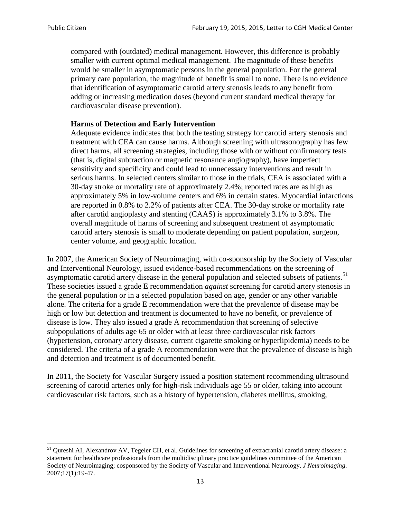compared with (outdated) medical management. However, this difference is probably smaller with current optimal medical management. The magnitude of these benefits would be smaller in asymptomatic persons in the general population. For the general primary care population, the magnitude of benefit is small to none. There is no evidence that identification of asymptomatic carotid artery stenosis leads to any benefit from adding or increasing medication doses (beyond current standard medical therapy for cardiovascular disease prevention).

## **Harms of Detection and Early Intervention**

Adequate evidence indicates that both the testing strategy for carotid artery stenosis and treatment with CEA can cause harms. Although screening with ultrasonography has few direct harms, all screening strategies, including those with or without confirmatory tests (that is, digital subtraction or magnetic resonance angiography), have imperfect sensitivity and specificity and could lead to unnecessary interventions and result in serious harms. In selected centers similar to those in the trials, CEA is associated with a 30-day stroke or mortality rate of approximately 2.4%; reported rates are as high as approximately 5% in low-volume centers and 6% in certain states. Myocardial infarctions are reported in 0.8% to 2.2% of patients after CEA. The 30-day stroke or mortality rate after carotid angioplasty and stenting (CAAS) is approximately 3.1% to 3.8%. The overall magnitude of harms of screening and subsequent treatment of asymptomatic carotid artery stenosis is small to moderate depending on patient population, surgeon, center volume, and geographic location.

In 2007, the American Society of Neuroimaging, with co-sponsorship by the Society of Vascular and Interventional Neurology, issued evidence-based recommendations on the screening of asymptomatic carotid artery disease in the general population and selected subsets of patients.<sup>[51](#page-12-0)</sup> These societies issued a grade E recommendation *against* screening for carotid artery stenosis in the general population or in a selected population based on age, gender or any other variable alone. The criteria for a grade E recommendation were that the prevalence of disease may be high or low but detection and treatment is documented to have no benefit, or prevalence of disease is low. They also issued a grade A recommendation that screening of selective subpopulations of adults age 65 or older with at least three cardiovascular risk factors (hypertension, coronary artery disease, current cigarette smoking or hyperlipidemia) needs to be considered. The criteria of a grade A recommendation were that the prevalence of disease is high and detection and treatment is of documented benefit.

In 2011, the Society for Vascular Surgery issued a position statement recommending ultrasound screening of carotid arteries only for high-risk individuals age 55 or older, taking into account cardiovascular risk factors, such as a history of hypertension, diabetes mellitus, smoking,

<span id="page-12-0"></span><sup>&</sup>lt;sup>51</sup> Qureshi AI, Alexandrov AV, Tegeler CH, et al. Guidelines for screening of extracranial carotid artery disease: a statement for healthcare professionals from the multidisciplinary practice guidelines committee of the American Society of Neuroimaging; cosponsored by the Society of Vascular and Interventional Neurology. *J Neuroimaging*. 2007;17(1):19-47.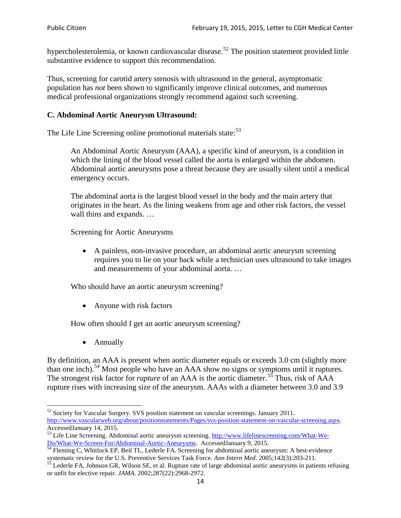hypercholesterolemia, or known cardiovascular disease.<sup>[52](#page-13-0)</sup> The position statement provided little substantive evidence to support this recommendation.

Thus, screening for carotid artery stenosis with ultrasound in the general, asymptomatic population has *not* been shown to significantly improve clinical outcomes, and numerous medical professional organizations strongly recommend against such screening.

## **C. Abdominal Aortic Aneurysm Ultrasound:**

The Life Line Screening online promotional materials state:<sup>[53](#page-13-1)</sup>

An Abdominal Aortic Aneurysm (AAA), a specific kind of aneurysm, is a condition in which the lining of the blood vessel called the aorta is enlarged within the abdomen. Abdominal aortic aneurysms pose a threat because they are usually silent until a medical emergency occurs.

The abdominal aorta is the largest blood vessel in the body and the main artery that originates in the heart. As the lining weakens from age and other risk factors, the vessel wall thins and expands. …

Screening for Aortic Aneurysms

• A painless, non-invasive procedure, an abdominal aortic aneurysm screening requires you to lie on your back while a technician uses ultrasound to take images and measurements of your abdominal aorta. …

Who should have an aortic aneurysm screening?

• Anyone with risk factors

How often should I get an aortic aneurysm screening?

• Annually

By definition, an AAA is present when aortic diameter equals or exceeds 3.0 cm (slightly more than one inch).<sup>[54](#page-13-2)</sup> Most people who have an AAA show no signs or symptoms until it ruptures. The strongest risk factor for *rupture* of an AAA is the aortic diameter.<sup>[55](#page-13-3)</sup> Thus, risk of AAA rupture rises with increasing size of the aneurysm. AAAs with a diameter between 3.0 and 3.9

<span id="page-13-0"></span><sup>&</sup>lt;sup>52</sup> Society for Vascular Surgery. SVS position statement on vascular screenings. January 2011. http://www.vascularweb.org/about/positionstatements/Pages/svs-position-statement-on-vascular-screening.aspx.<br>Accessed January 14, 2015.

<span id="page-13-1"></span>Accessed January 14, 2015.<br>
Sa Life Line Screening. Abdominal aortic aneurysm screening. http://www.lifelinescreening.com/What-We-<br>
Do/What-We-Screen-For/Abdominal-Aortic-Aneurysms. Accessed January 9, 2015.

<span id="page-13-2"></span> $\frac{54}{9}$  Fleming C, Whitlock EP, Beil TL, Lederle FA. Screening for abdominal aortic aneurysm: A best-evidence systematic review for the U.S. Preventive Services Task Force. *Ann Intern Med.* 2005;142(3):203-211.<br><sup>55</sup> Lederle FA, Johnson GR, Wilson SE, et al. Rupture rate of large abdominal aortic aneurysms in patients refusing

<span id="page-13-3"></span>or unfit for elective repair. *JAMA*. 2002;287(22):2968-2972.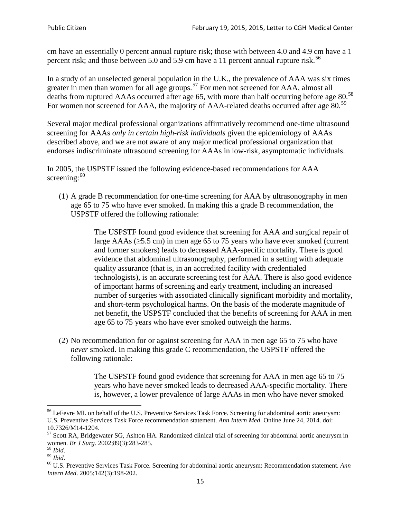cm have an essentially 0 percent annual rupture risk; those with between 4.0 and 4.9 cm have a 1 percent risk; and those between 5.0 and 5.9 cm have a 11 percent annual rupture risk.<sup>[56](#page-14-0)</sup>

In a study of an unselected general population in the U.K., the prevalence of AAA was six times greater in men than women for all age groups.<sup>[57](#page-14-1)</sup> For men not screened for  $AAA$ , almost all deaths from ruptured AAAs occurred after age 65, with more than half occurring before age 80.<sup>[58](#page-14-2)</sup> For women not screened for AAA, the majority of AAA-related deaths occurred after age 80.<sup>[59](#page-14-3)</sup>

Several major medical professional organizations affirmatively recommend one-time ultrasound screening for AAAs *only in certain high-risk individuals* given the epidemiology of AAAs described above, and we are not aware of any major medical professional organization that endorses indiscriminate ultrasound screening for AAAs in low-risk, asymptomatic individuals.

In 2005, the USPSTF issued the following evidence-based recommendations for AAA screening: $60$ 

(1) A grade B recommendation for one-time screening for AAA by ultrasonography in men age 65 to 75 who have ever smoked. In making this a grade [B recommendation,](http://www.uspreventiveservicestaskforce.org/uspstf/gradespre.htm#brec) the USPSTF offered the following rationale:

> The USPSTF found good evidence that screening for AAA and surgical repair of large AAAs ( $\geq$ 5.5 cm) in men age 65 to 75 years who have ever smoked (current and former smokers) leads to decreased AAA-specific mortality. There is good evidence that abdominal ultrasonography, performed in a setting with adequate quality assurance (that is, in an accredited facility with credentialed technologists), is an accurate screening test for AAA. There is also good evidence of important harms of screening and early treatment, including an increased number of surgeries with associated clinically significant morbidity and mortality, and short-term psychological harms. On the basis of the moderate magnitude of net benefit, the USPSTF concluded that the benefits of screening for AAA in men age 65 to 75 years who have ever smoked outweigh the harms.

(2) No recommendation for or against screening for AAA in men age 65 to 75 who have *never* smoked. In making this grade C recommendation, the USPSTF offered the following rationale:

> The USPSTF found good evidence that screening for AAA in men age 65 to 75 years who have never smoked leads to decreased AAA-specific mortality. There is, however, a lower prevalence of large AAAs in men who have never smoked

<span id="page-14-0"></span><sup>&</sup>lt;sup>56</sup> LeFevre ML on behalf of the U.S. Preventive Services Task Force. Screening for abdominal aortic aneurysm: U.S. Preventive Services Task Force recommendation statement. *Ann Intern Med*. Online June 24, 2014. doi:

<span id="page-14-1"></span><sup>10.7326/</sup>M14-1204.<br> $57$  Scott RA, Bridgewater SG, Ashton HA. Randomized clinical trial of screening for abdominal aortic aneurysm in women. *Br J Surg.* 2002;89(3):283-285.

<span id="page-14-4"></span><span id="page-14-3"></span>

<span id="page-14-2"></span><sup>&</sup>lt;sup>58</sup> *Ibid.*<br><sup>59</sup> *Ibid.* 2002;<br><sup>60</sup> U.S. Preventive Services Task Force. Screening for abdominal aortic aneurysm: Recommendation statement. *Ann Intern Med*. 2005;142(3):198-202.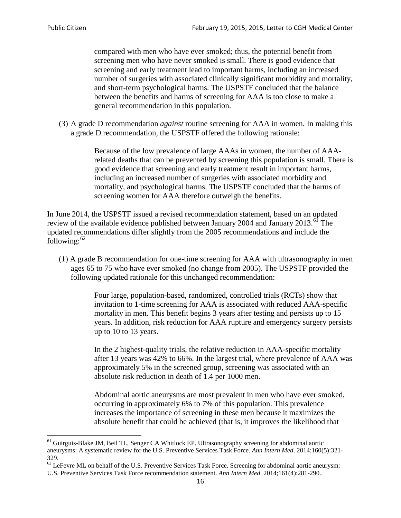compared with men who have ever smoked; thus, the potential benefit from screening men who have never smoked is small. There is good evidence that screening and early treatment lead to important harms, including an increased number of surgeries with associated clinically significant morbidity and mortality, and short-term psychological harms. The USPSTF concluded that the balance between the benefits and harms of screening for AAA is too close to make a general recommendation in this population.

(3) A grade D recommendation *against* routine screening for AAA in women. In making this a grade D recommendation, the USPSTF offered the following rationale:

> Because of the low prevalence of large AAAs in women, the number of AAArelated deaths that can be prevented by screening this population is small. There is good evidence that screening and early treatment result in important harms, including an increased number of surgeries with associated morbidity and mortality, and psychological harms. The USPSTF concluded that the harms of screening women for AAA therefore outweigh the benefits.

In June 2014, the USPSTF issued a revised recommendation statement, based on an updated review of the available evidence published between January 2004 and January 2013.<sup>[61](#page-15-0)</sup> The updated recommendations differ slightly from the 2005 recommendations and include the following: $62$ 

(1) A grade B recommendation for one-time screening for AAA with ultrasonography in men ages 65 to 75 who have ever smoked (no change from 2005). The USPSTF provided the following updated rationale for this unchanged recommendation:

> Four large, population-based, randomized, controlled trials (RCTs) show that invitation to 1-time screening for AAA is associated with reduced AAA-specific mortality in men. This benefit begins 3 years after testing and persists up to 15 years. In addition, risk reduction for AAA rupture and emergency surgery persists up to 10 to 13 years.

> In the 2 highest-quality trials, the relative reduction in AAA-specific mortality after 13 years was 42% to 66%. In the largest trial, where prevalence of AAA was approximately 5% in the screened group, screening was associated with an absolute risk reduction in death of 1.4 per 1000 men.

Abdominal aortic aneurysms are most prevalent in men who have ever smoked, occurring in approximately 6% to 7% of this population. This prevalence increases the importance of screening in these men because it maximizes the absolute benefit that could be achieved (that is, it improves the likelihood that

<span id="page-15-0"></span><sup>61</sup> Guirguis-Blake JM, Beil TL, Senger CA Whitlock EP. Ultrasonography screening for abdominal aortic aneurysms: A systematic review for the U.S. Preventive Services Task Force. *Ann Intern Med*. 2014;160(5):321- 329.

<span id="page-15-1"></span> $62$  LeFevre ML on behalf of the U.S. Preventive Services Task Force. Screening for abdominal aortic aneurysm: U.S. Preventive Services Task Force recommendation statement. *Ann Intern Med*. 2014;161(4):281-290..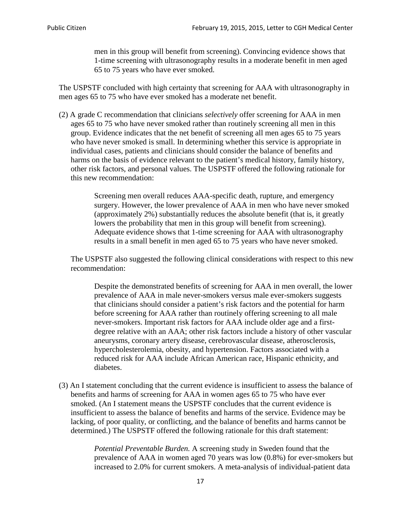men in this group will benefit from screening). Convincing evidence shows that 1-time screening with ultrasonography results in a moderate benefit in men aged 65 to 75 years who have ever smoked.

The USPSTF concluded with high certainty that screening for AAA with ultrasonography in men ages 65 to 75 who have ever smoked has a moderate net benefit.

(2) A grade C recommendation that clinicians *selectively* offer screening for AAA in men ages 65 to 75 who have never smoked rather than routinely screening all men in this group. Evidence indicates that the net benefit of screening all men ages 65 to 75 years who have never smoked is small. In determining whether this service is appropriate in individual cases, patients and clinicians should consider the balance of benefits and harms on the basis of evidence relevant to the patient's medical history, family history, other risk factors, and personal values. The USPSTF offered the following rationale for this new recommendation:

> Screening men overall reduces AAA-specific death, rupture, and emergency surgery. However, the lower prevalence of AAA in men who have never smoked (approximately 2%) substantially reduces the absolute benefit (that is, it greatly lowers the probability that men in this group will benefit from screening). Adequate evidence shows that 1-time screening for AAA with ultrasonography results in a small benefit in men aged 65 to 75 years who have never smoked.

The USPSTF also suggested the following clinical considerations with respect to this new recommendation:

Despite the demonstrated benefits of screening for AAA in men overall, the lower prevalence of AAA in male never-smokers versus male ever-smokers suggests that clinicians should consider a patient's risk factors and the potential for harm before screening for AAA rather than routinely offering screening to all male never-smokers. Important risk factors for AAA include older age and a firstdegree relative with an AAA; other risk factors include a history of other vascular aneurysms, coronary artery disease, cerebrovascular disease, atherosclerosis, hypercholesterolemia, obesity, and hypertension. Factors associated with a reduced risk for AAA include African American race, Hispanic ethnicity, and diabetes.

(3) An I statement concluding that the current evidence is insufficient to assess the balance of benefits and harms of screening for AAA in women ages 65 to 75 who have ever smoked. (An I statement means the USPSTF concludes that the current evidence is insufficient to assess the balance of benefits and harms of the service. Evidence may be lacking, of poor quality, or conflicting, and the balance of benefits and harms cannot be determined.) The USPSTF offered the following rationale for this draft statement:

> *Potential Preventable Burden.* A screening study in Sweden found that the prevalence of AAA in women aged 70 years was low (0.8%) for ever-smokers but increased to 2.0% for current smokers. A meta-analysis of individual-patient data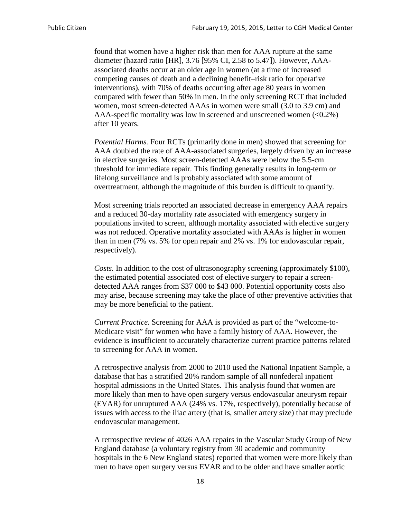found that women have a higher risk than men for AAA rupture at the same diameter (hazard ratio [HR], 3.76 [95% CI, 2.58 to 5.47]). However, AAAassociated deaths occur at an older age in women (at a time of increased competing causes of death and a declining benefit–risk ratio for operative interventions), with 70% of deaths occurring after age 80 years in women compared with fewer than 50% in men. In the only screening RCT that included women, most screen-detected AAAs in women were small (3.0 to 3.9 cm) and AAA-specific mortality was low in screened and unscreened women  $(<0.2\%)$ after 10 years.

*Potential Harms.* Four RCTs (primarily done in men) showed that screening for AAA doubled the rate of AAA-associated surgeries, largely driven by an increase in elective surgeries. Most screen-detected AAAs were below the 5.5-cm threshold for immediate repair. This finding generally results in long-term or lifelong surveillance and is probably associated with some amount of overtreatment, although the magnitude of this burden is difficult to quantify.

Most screening trials reported an associated decrease in emergency AAA repairs and a reduced 30-day mortality rate associated with emergency surgery in populations invited to screen, although mortality associated with elective surgery was not reduced. Operative mortality associated with AAAs is higher in women than in men (7% vs. 5% for open repair and 2% vs. 1% for endovascular repair, respectively).

*Costs.* In addition to the cost of ultrasonography screening (approximately \$100), the estimated potential associated cost of elective surgery to repair a screendetected AAA ranges from \$37 000 to \$43 000. Potential opportunity costs also may arise, because screening may take the place of other preventive activities that may be more beneficial to the patient.

*Current Practice.* Screening for AAA is provided as part of the "welcome-to-Medicare visit" for women who have a family history of AAA. However, the evidence is insufficient to accurately characterize current practice patterns related to screening for AAA in women.

A retrospective analysis from 2000 to 2010 used the National Inpatient Sample, a database that has a stratified 20% random sample of all nonfederal inpatient hospital admissions in the United States. This analysis found that women are more likely than men to have open surgery versus endovascular aneurysm repair (EVAR) for unruptured AAA (24% vs. 17%, respectively), potentially because of issues with access to the iliac artery (that is, smaller artery size) that may preclude endovascular management.

A retrospective review of 4026 AAA repairs in the Vascular Study Group of New England database (a voluntary registry from 30 academic and community hospitals in the 6 New England states) reported that women were more likely than men to have open surgery versus EVAR and to be older and have smaller aortic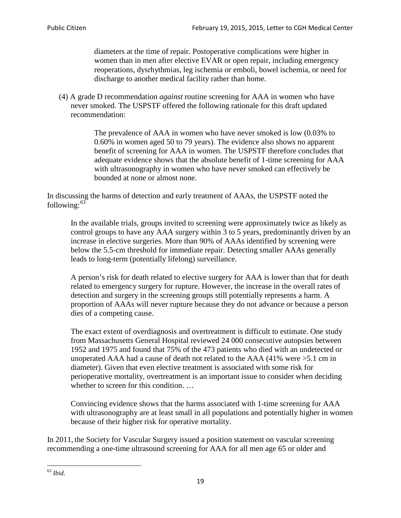diameters at the time of repair. Postoperative complications were higher in women than in men after elective EVAR or open repair, including emergency reoperations, dysrhythmias, leg ischemia or emboli, bowel ischemia, or need for discharge to another medical facility rather than home.

(4) A grade D recommendation *against* routine screening for AAA in women who have never smoked. The USPSTF offered the following rationale for this draft updated recommendation:

> The prevalence of AAA in women who have never smoked is low (0.03% to 0.60% in women aged 50 to 79 years). The evidence also shows no apparent benefit of screening for AAA in women. The USPSTF therefore concludes that adequate evidence shows that the absolute benefit of 1-time screening for AAA with ultrasonography in women who have never smoked can effectively be bounded at none or almost none.

In discussing the harms of detection and early treatment of AAAs, the USPSTF noted the following: $63$ 

In the available trials, groups invited to screening were approximately twice as likely as control groups to have any AAA surgery within 3 to 5 years, predominantly driven by an increase in elective surgeries. More than 90% of AAAs identified by screening were below the 5.5-cm threshold for immediate repair. Detecting smaller AAAs generally leads to long-term (potentially lifelong) surveillance.

A person's risk for death related to elective surgery for AAA is lower than that for death related to emergency surgery for rupture. However, the increase in the overall rates of detection and surgery in the screening groups still potentially represents a harm. A proportion of AAAs will never rupture because they do not advance or because a person dies of a competing cause.

The exact extent of overdiagnosis and overtreatment is difficult to estimate. One study from Massachusetts General Hospital reviewed 24 000 consecutive autopsies between 1952 and 1975 and found that 75% of the 473 patients who died with an undetected or unoperated AAA had a cause of death not related to the AAA (41% were >5.1 cm in diameter). Given that even elective treatment is associated with some risk for perioperative mortality, overtreatment is an important issue to consider when deciding whether to screen for this condition....

Convincing evidence shows that the harms associated with 1-time screening for AAA with ultrasonography are at least small in all populations and potentially higher in women because of their higher risk for operative mortality.

In 2011, the Society for Vascular Surgery issued a position statement on vascular screening recommending a one-time ultrasound screening for AAA for all men age 65 or older and

<span id="page-18-0"></span><sup>63</sup> *Ibid*.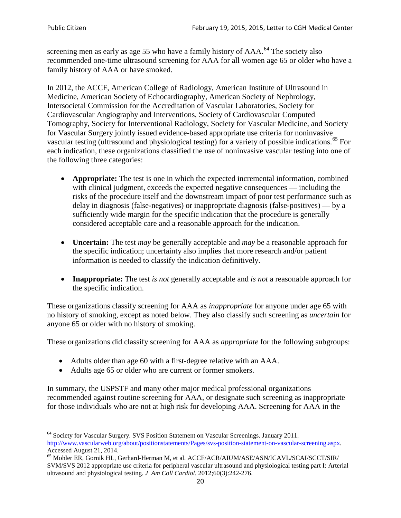screening men as early as age 55 who have a family history of AAA.<sup>[64](#page-19-0)</sup> The society also recommended one-time ultrasound screening for AAA for all women age 65 or older who have a family history of AAA or have smoked.

In 2012, the ACCF, American College of Radiology, American Institute of Ultrasound in Medicine, American Society of Echocardiography, American Society of Nephrology, Intersocietal Commission for the Accreditation of Vascular Laboratories, Society for Cardiovascular Angiography and Interventions, Society of Cardiovascular Computed Tomography, Society for Interventional Radiology, Society for Vascular Medicine, and Society for Vascular Surgery jointly issued evidence-based appropriate use criteria for noninvasive vascular testing (ultrasound and physiological testing) for a variety of possible indications.<sup>[65](#page-19-1)</sup> For each indication, these organizations classified the use of noninvasive vascular testing into one of the following three categories:

- **Appropriate:** The test is one in which the expected incremental information, combined with clinical judgment, exceeds the expected negative consequences — including the risks of the procedure itself and the downstream impact of poor test performance such as delay in diagnosis (false-negatives) or inappropriate diagnosis (false-positives) — by a sufficiently wide margin for the specific indication that the procedure is generally considered acceptable care and a reasonable approach for the indication.
- **Uncertain:** The test *may* be generally acceptable and *may* be a reasonable approach for the specific indication; uncertainty also implies that more research and/or patient information is needed to classify the indication definitively.
- **Inappropriate:** The test *is not* generally acceptable and *is not* a reasonable approach for the specific indication.

These organizations classify screening for AAA as *inappropriate* for anyone under age 65 with no history of smoking, except as noted below. They also classify such screening as *uncertain* for anyone 65 or older with no history of smoking.

These organizations did classify screening for AAA as *appropriate* for the following subgroups:

- Adults older than age 60 with a first-degree relative with an AAA.
- Adults age 65 or older who are current or former smokers.

In summary, the USPSTF and many other major medical professional organizations recommended against routine screening for AAA, or designate such screening as inappropriate for those individuals who are not at high risk for developing AAA. Screening for AAA in the

<span id="page-19-0"></span><sup>64</sup> Society for Vascular Surgery. SVS Position Statement on Vascular Screenings. January 2011. [http://www.vascularweb.org/about/positionstatements/Pages/svs-position-statement-on-vascular-screening.aspx.](http://www.vascularweb.org/about/positionstatements/Pages/svs-position-statement-on-vascular-screening.aspx) 

<span id="page-19-1"></span>Accessed August 21, 2014.<br><sup>65</sup> Mohler ER, Gornik HL, Gerhard-Herman M, et al. ACCF/ACR/AIUM/ASE/ASN/ICAVL/SCAI/SCCT/SIR/ SVM/SVS 2012 appropriate use criteria for peripheral vascular ultrasound and physiological testing part I: Arterial ultrasound and physiological testing*. J Am Coll Cardiol*. 2012;60(3):242-276.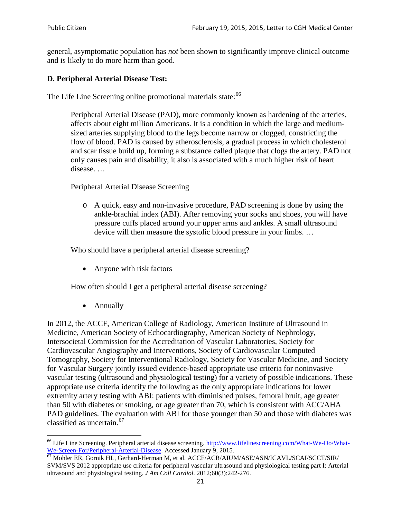general, asymptomatic population has *not* been shown to significantly improve clinical outcome and is likely to do more harm than good.

## **D. Peripheral Arterial Disease Test:**

The Life Line Screening online promotional materials state:<sup>[66](#page-20-0)</sup>

Peripheral Arterial Disease (PAD), more commonly known as hardening of the arteries, affects about eight million Americans. It is a condition in which the large and mediumsized arteries supplying blood to the legs become narrow or clogged, constricting the flow of blood. PAD is caused by atherosclerosis, a gradual process in which cholesterol and scar tissue build up, forming a substance called plaque that clogs the artery. PAD not only causes pain and disability, it also is associated with a much higher risk of heart disease. …

Peripheral Arterial Disease Screening

o A quick, easy and non-invasive procedure, PAD screening is done by using the ankle-brachial index (ABI). After removing your socks and shoes, you will have pressure cuffs placed around your upper arms and ankles. A small ultrasound device will then measure the systolic blood pressure in your limbs. …

Who should have a peripheral arterial disease screening?

• Anyone with risk factors

How often should I get a peripheral arterial disease screening?

• Annually

In 2012, the ACCF, American College of Radiology, American Institute of Ultrasound in Medicine, American Society of Echocardiography, American Society of Nephrology, Intersocietal Commission for the Accreditation of Vascular Laboratories, Society for Cardiovascular Angiography and Interventions, Society of Cardiovascular Computed Tomography, Society for Interventional Radiology, Society for Vascular Medicine, and Society for Vascular Surgery jointly issued evidence-based appropriate use criteria for noninvasive vascular testing (ultrasound and physiological testing) for a variety of possible indications. These appropriate use criteria identify the following as the only appropriate indications for lower extremity artery testing with ABI: patients with diminished pulses, femoral bruit, age greater than 50 with diabetes or smoking, or age greater than 70, which is consistent with ACC/AHA PAD guidelines. The evaluation with ABI for those younger than 50 and those with diabetes was classified as uncertain.<sup>[67](#page-20-1)</sup>

<span id="page-20-0"></span><sup>&</sup>lt;sup>66</sup> Life Line Screening. Peripheral arterial disease screening. [http://www.lifelinescreening.com/What-We-Do/What-](http://www.lifelinescreening.com/What-We-Do/What-We-Screen-For/Peripheral-Arterial-Disease)[We-Screen-For/Peripheral-Arterial-Disease.](http://www.lifelinescreening.com/What-We-Do/What-We-Screen-For/Peripheral-Arterial-Disease) Accessed January 9, 2015.<br><sup>67</sup> Mohler ER, Gornik HL, Gerhard-Herman M, et al. ACCF/ACR/AIUM/ASE/ASN/ICAVL/SCAI/SCCT/SIR/

<span id="page-20-1"></span>SVM/SVS 2012 appropriate use criteria for peripheral vascular ultrasound and physiological testing part I: Arterial ultrasound and physiological testing. *J Am Coll Cardiol*. 2012;60(3):242-276.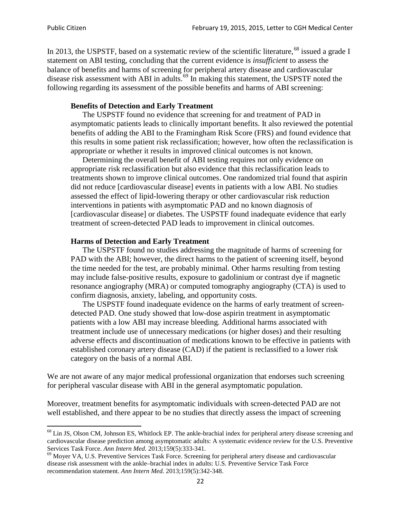In 2013, the USPSTF, based on a systematic review of the scientific literature,<sup>[68](#page-21-0)</sup> issued a grade I statement on ABI testing, concluding that the current evidence is *insufficient* to assess the balance of benefits and harms of screening for peripheral artery disease and cardiovascular disease risk assessment with ABI in adults.<sup>[69](#page-21-1)</sup> In making this statement, the USPSTF noted the following regarding its assessment of the possible benefits and harms of ABI screening:

### **Benefits of Detection and Early Treatment**

The USPSTF found no evidence that screening for and treatment of PAD in asymptomatic patients leads to clinically important benefits. It also reviewed the potential benefits of adding the ABI to the Framingham Risk Score (FRS) and found evidence that this results in some patient risk reclassification; however, how often the reclassification is appropriate or whether it results in improved clinical outcomes is not known.

Determining the overall benefit of ABI testing requires not only evidence on appropriate risk reclassification but also evidence that this reclassification leads to treatments shown to improve clinical outcomes. One randomized trial found that aspirin did not reduce [cardiovascular disease] events in patients with a low ABI. No studies assessed the effect of lipid-lowering therapy or other cardiovascular risk reduction interventions in patients with asymptomatic PAD and no known diagnosis of [cardiovascular disease] or diabetes. The USPSTF found inadequate evidence that early treatment of screen-detected PAD leads to improvement in clinical outcomes.

### **Harms of Detection and Early Treatment**

The USPSTF found no studies addressing the magnitude of harms of screening for PAD with the ABI; however, the direct harms to the patient of screening itself, beyond the time needed for the test, are probably minimal. Other harms resulting from testing may include false-positive results, exposure to gadolinium or contrast dye if magnetic resonance angiography (MRA) or computed tomography angiography (CTA) is used to confirm diagnosis, anxiety, labeling, and opportunity costs.

The USPSTF found inadequate evidence on the harms of early treatment of screendetected PAD. One study showed that low-dose aspirin treatment in asymptomatic patients with a low ABI may increase bleeding. Additional harms associated with treatment include use of unnecessary medications (or higher doses) and their resulting adverse effects and discontinuation of medications known to be effective in patients with established coronary artery disease (CAD) if the patient is reclassified to a lower risk category on the basis of a normal ABI.

We are not aware of any major medical professional organization that endorses such screening for peripheral vascular disease with ABI in the general asymptomatic population.

Moreover, treatment benefits for asymptomatic individuals with screen-detected PAD are not well established, and there appear to be no studies that directly assess the impact of screening

<span id="page-21-0"></span><sup>&</sup>lt;sup>68</sup> Lin JS, Olson CM, Johnson ES, Whitlock EP. The ankle-brachial index for peripheral artery disease screening and cardiovascular disease prediction among asymptomatic adults: A systematic evidence review for the U.S. Preventive Services Task Force. *Ann Intern Med.* 2013;159(5):333-341.<br><sup>69</sup> Moyer VA, U.S. Preventive Services Task Force. Screening for peripheral artery disease and cardiovascular

<span id="page-21-1"></span>disease risk assessment with the ankle–brachial index in adults: U.S. Preventive Service Task Force recommendation statement. *Ann Intern Med.* 2013;159(5):342-348.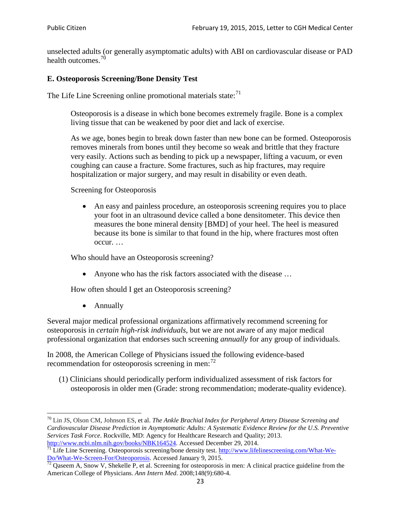unselected adults (or generally asymptomatic adults) with ABI on cardiovascular disease or PAD health outcomes.<sup>[70](#page-22-0)</sup>

## **E. Osteoporosis Screening/Bone Density Test**

The Life Line Screening online promotional materials state: $71$ 

Osteoporosis is a disease in which bone becomes extremely fragile. Bone is a complex living tissue that can be weakened by poor diet and lack of exercise.

As we age, bones begin to break down faster than new bone can be formed. Osteoporosis removes minerals from bones until they become so weak and brittle that they fracture very easily. Actions such as bending to pick up a newspaper, lifting a vacuum, or even coughing can cause a fracture. Some fractures, such as hip fractures, may require hospitalization or major surgery, and may result in disability or even death.

Screening for Osteoporosis

• An easy and painless procedure, an osteoporosis screening requires you to place your foot in an ultrasound device called a bone densitometer. This device then measures the bone mineral density [BMD] of your heel. The heel is measured because its bone is similar to that found in the hip, where fractures most often occur. …

Who should have an Osteoporosis screening?

• Anyone who has the risk factors associated with the disease ...

How often should I get an Osteoporosis screening?

• Annually

Several major medical professional organizations affirmatively recommend screening for osteoporosis in *certain high-risk individuals*, but we are not aware of any major medical professional organization that endorses such screening *annually* for any group of individuals.

In 2008, the American College of Physicians issued the following evidence-based recommendation for osteoporosis screening in men: $^{72}$  $^{72}$  $^{72}$ 

(1) Clinicians should periodically perform individualized assessment of risk factors for osteoporosis in older men (Grade: strong recommendation; moderate-quality evidence).

<span id="page-22-0"></span><sup>70</sup> [Lin JS,](http://www.ncbi.nlm.nih.gov/pubmed?term=Lin%20JS%5BAuthor%5D&cauthor=true&cauthor_uid=24156115) [Olson CM,](http://www.ncbi.nlm.nih.gov/pubmed?term=Olson%20CM%5BAuthor%5D&cauthor=true&cauthor_uid=24156115) [Johnson ES,](http://www.ncbi.nlm.nih.gov/pubmed?term=Johnson%20ES%5BAuthor%5D&cauthor=true&cauthor_uid=24156115) et al. *The Ankle Brachial Index for Peripheral Artery Disease Screening and Cardiovascular Disease Prediction in Asymptomatic Adults: A Systematic Evidence Review for the U.S. Preventive Services Task Force*. Rockville, MD: Agency for Healthcare Research and Quality; 2013.<br>http://www.ncbi.nlm.nih.gov/books/NBK164524. Accessed December 29, 2014.

<span id="page-22-1"></span> $\frac{1}{71}$  Life Line Screening. Osteoporosis screening/bone density test. [http://www.lifelinescreening.com/What-We-](http://www.lifelinescreening.com/What-We-Do/What-We-Screen-For/Osteoporosis)[Do/What-We-Screen-For/Osteoporosis.](http://www.lifelinescreening.com/What-We-Do/What-We-Screen-For/Osteoporosis) Accessed January 9, 2015. <sup>72</sup> Qaseem A, Snow V, Shekelle P, et al. Screening for osteoporosis in men: A clinical practice guideline from the

<span id="page-22-2"></span>American College of Physicians. *Ann Intern Med*. 2008;148(9):680-4.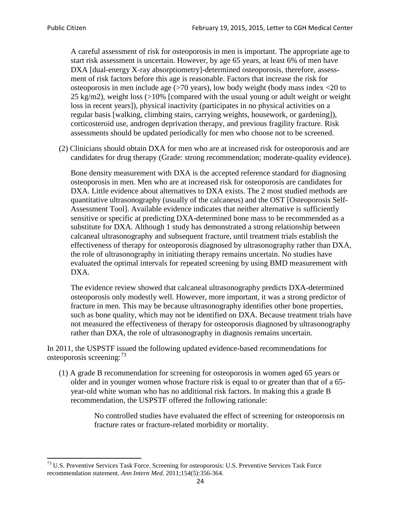A careful assessment of risk for osteoporosis in men is important. The appropriate age to start risk assessment is uncertain. However, by age 65 years, at least 6% of men have DXA [dual-energy X-ray absorptiometry]-determined osteoporosis, therefore, assessment of risk factors before this age is reasonable. Factors that increase the risk for osteoporosis in men include age (>70 years), low body weight (body mass index <20 to 25 kg/m2), weight loss  $\langle$  >10% [compared with the usual young or adult weight or weight loss in recent years]), physical inactivity (participates in no physical activities on a regular basis [walking, climbing stairs, carrying weights, housework, or gardening]), corticosteroid use, androgen deprivation therapy, and previous fragility fracture. Risk assessments should be updated periodically for men who choose not to be screened.

(2) Clinicians should obtain DXA for men who are at increased risk for osteoporosis and are candidates for drug therapy (Grade: strong recommendation; moderate-quality evidence).

Bone density measurement with DXA is the accepted reference standard for diagnosing osteoporosis in men. Men who are at increased risk for osteoporosis are candidates for DXA. Little evidence about alternatives to DXA exists. The 2 most studied methods are quantitative ultrasonography (usually of the calcaneus) and the OST [Osteoporosis Self-Assessment Tool]. Available evidence indicates that neither alternative is sufficiently sensitive or specific at predicting DXA-determined bone mass to be recommended as a substitute for DXA. Although 1 study has demonstrated a strong relationship between calcaneal ultrasonography and subsequent fracture, until treatment trials establish the effectiveness of therapy for osteoporosis diagnosed by ultrasonography rather than DXA, the role of ultrasonography in initiating therapy remains uncertain. No studies have evaluated the optimal intervals for repeated screening by using BMD measurement with DXA.

The evidence review showed that calcaneal ultrasonography predicts DXA-determined osteoporosis only modestly well. However, more important, it was a strong predictor of fracture in men. This may be because ultrasonography identifies other bone properties, such as bone quality, which may not be identified on DXA. Because treatment trials have not measured the effectiveness of therapy for osteoporosis diagnosed by ultrasonography rather than DXA, the role of ultrasonography in diagnosis remains uncertain.

In 2011, the USPSTF issued the following updated evidence-based recommendations for osteoporosis screening:<sup>[73](#page-23-0)</sup>

(1) A grade B recommendation for screening for osteoporosis in women aged 65 years or older and in younger women whose fracture risk is equal to or greater than that of a 65 year-old white woman who has no additional risk factors. In making this a grade B recommendation, the USPSTF offered the following rationale:

> No controlled studies have evaluated the effect of screening for osteoporosis on fracture rates or fracture-related morbidity or mortality.

<span id="page-23-0"></span><sup>&</sup>lt;sup>73</sup> U.S. Preventive Services Task Force. Screening for osteoporosis: U.S. Preventive Services Task Force recommendation statement. *Ann Intern Med*. 2011;154(5):356-364.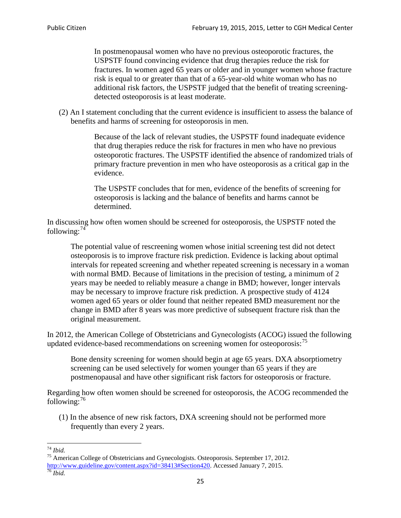In postmenopausal women who have no previous osteoporotic fractures, the USPSTF found convincing evidence that drug therapies reduce the risk for fractures. In women aged 65 years or older and in younger women whose fracture risk is equal to or greater than that of a 65-year-old white woman who has no additional risk factors, the USPSTF judged that the benefit of treating screeningdetected osteoporosis is at least moderate.

(2) An I statement concluding that the current evidence is insufficient to assess the balance of benefits and harms of screening for osteoporosis in men.

> Because of the lack of relevant studies, the USPSTF found inadequate evidence that drug therapies reduce the risk for fractures in men who have no previous osteoporotic fractures. The USPSTF identified the absence of randomized trials of primary fracture prevention in men who have osteoporosis as a critical gap in the evidence.

The USPSTF concludes that for men, evidence of the benefits of screening for osteoporosis is lacking and the balance of benefits and harms cannot be determined.

In discussing how often women should be screened for osteoporosis, the USPSTF noted the following: $74$ 

The potential value of rescreening women whose initial screening test did not detect osteoporosis is to improve fracture risk prediction. Evidence is lacking about optimal intervals for repeated screening and whether repeated screening is necessary in a woman with normal BMD. Because of limitations in the precision of testing, a minimum of 2 years may be needed to reliably measure a change in BMD; however, longer intervals may be necessary to improve fracture risk prediction. A prospective study of 4124 women aged 65 years or older found that neither repeated BMD measurement nor the change in BMD after 8 years was more predictive of subsequent fracture risk than the original measurement.

In 2012, the American College of Obstetricians and Gynecologists (ACOG) issued the following updated evidence-based recommendations on screening women for osteoporosis:<sup>[75](#page-24-1)</sup>

Bone density screening for women should begin at age 65 years. DXA absorptiometry screening can be used selectively for women younger than 65 years if they are postmenopausal and have other significant risk factors for osteoporosis or fracture.

Regarding how often women should be screened for osteoporosis, the ACOG recommended the following: $^{76}$  $^{76}$  $^{76}$ 

(1) In the absence of new risk factors, DXA screening should not be performed more frequently than every 2 years.

<span id="page-24-2"></span><span id="page-24-1"></span><span id="page-24-0"></span><sup>74</sup> *Ibid.* <sup>75</sup> American College of Obstetricians and Gynecologists. Osteoporosis. September 17, 2012. [http://www.guideline.gov/content.aspx?id=38413#Section420.](http://www.guideline.gov/content.aspx?id=38413#Section420) Accessed January 7, 2015.<br><sup>76</sup> *Ibid.*